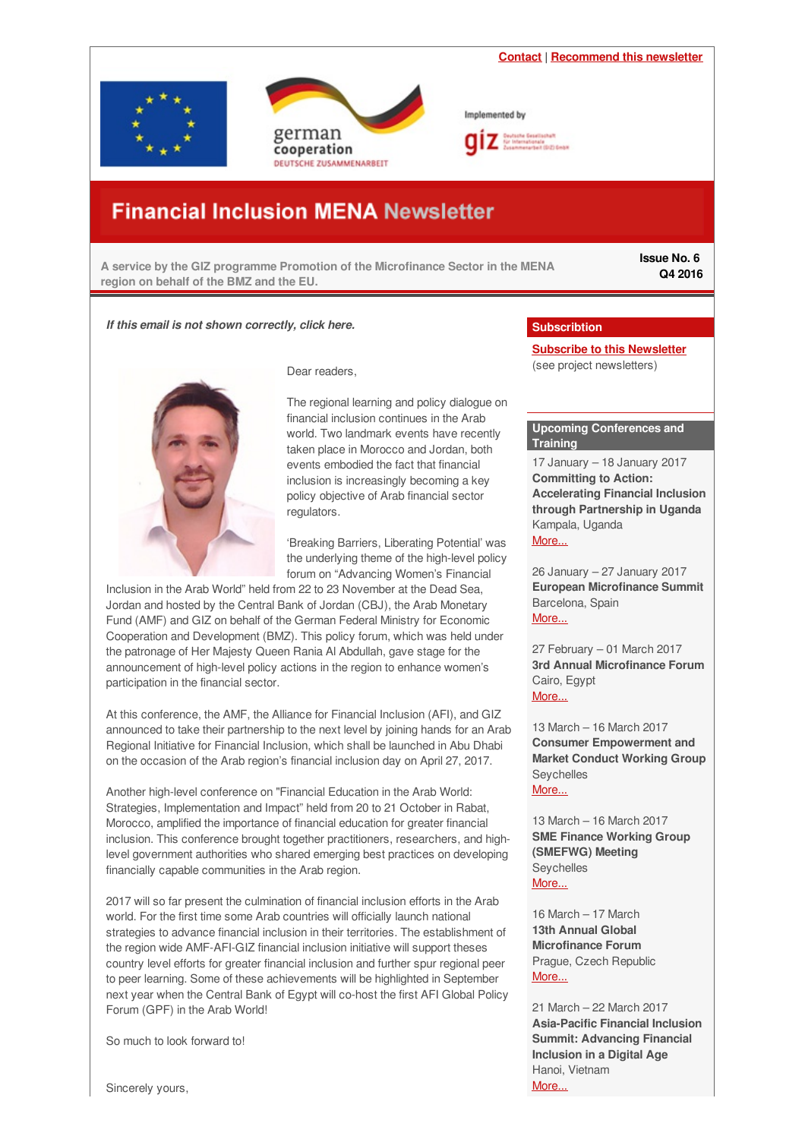**[Contact](
mailto:financialinclusion-mena@giz.de?subject=Newsletter feedback)** | **[Recommend](https://login.mailingwork.de/email/testPreview/simulateMailingFunction/3237) this newsletter**

<span id="page-0-0"></span>



Implemented by

# **Financial Inclusion MENA Newsletter**

**A service by the GIZ programme Promotion of the Microfinance Sector in the MENA region on behalf of the BMZ and the EU.**

**Issue No. 6 Q4 2016**

### *If this email is not shown correctly, click here.*



Dear readers,

The regional learning and policy dialogue on financial inclusion continues in the Arab world. Two landmark events have recently taken place in Morocco and Jordan, both events embodied the fact that financial inclusion is increasingly becoming a key policy objective of Arab financial sector regulators.

'Breaking Barriers, Liberating Potential' was the underlying theme of the high-level policy forum on "Advancing Women's Financial

Inclusion in the Arab World" held from 22 to 23 November at the Dead Sea, Jordan and hosted by the Central Bank of Jordan (CBJ), the Arab Monetary Fund (AMF) and GIZ on behalf of the German Federal Ministry for Economic Cooperation and Development (BMZ). This policy forum, which was held under the patronage of Her Majesty Queen Rania Al Abdullah, gave stage for the announcement of high-level policy actions in the region to enhance women's participation in the financial sector.

At this conference, the AMF, the Alliance for Financial Inclusion (AFI), and GIZ announced to take their partnership to the next level by joining hands for an Arab Regional Initiative for Financial Inclusion, which shall be launched in Abu Dhabi on the occasion of the Arab region's financial inclusion day on April 27, 2017.

Another high-level conference on "Financial Education in the Arab World: Strategies, Implementation and Impact" held from 20 to 21 October in Rabat, Morocco, amplified the importance of financial education for greater financial inclusion. This conference brought together practitioners, researchers, and highlevel government authorities who shared emerging best practices on developing financially capable communities in the Arab region.

2017 will so far present the culmination of financial inclusion efforts in the Arab world. For the first time some Arab countries will officially launch national strategies to advance financial inclusion in their territories. The establishment of the region wide AMF-AFI-GIZ financial inclusion initiative will support theses country level efforts for greater financial inclusion and further spur regional peer to peer learning. Some of these achievements will be highlighted in September next year when the Central Bank of Egypt will co-host the first AFI Global Policy Forum (GPF) in the Arab World!

So much to look forward to!

# **Subscribtion**

**Subscribe to this [Newsletter](http://www.giz.de/en/mediacenter/117.html)** (see project newsletters)

### **Upcoming Conferences and Training**

17 January – 18 January 2017 **Committing to Action: Accelerating Financial Inclusion through Partnership in Uganda** Kampala, Uganda [More...](http://microfinanceceoworkinggroup.org/uganda-2017/)

26 January – 27 January 2017 **European Microfinance Summit** Barcelona, Spain [More...](http://www.euro-events.co/index.php/events/conferences/109-european-microfinance-summit)

27 February – 01 March 2017 **3rd Annual Microfinance Forum** Cairo, Egypt [More...](https://www.microfinancegateway.org/training-events/3rd-annual-microfinance-forum)

13 March – 16 March 2017 **Consumer Empowerment and Market Conduct Working Group** Seychelles [More...](http://www.afi-global.org/events/consumer-empowerment-and-market-conduct-working-group-cemcwg-meeting-seychelles)

13 March – 16 March 2017 **SME Finance Working Group (SMEFWG) Meeting Seychelles** [More...](http://www.afi-global.org/events/sme-finance-working-group-smefwg-meeting-seychelles)

16 March – 17 March **13th Annual Global Microfinance Forum** Prague, Czech Republic [More...](http://www.uni-global.eu/portfolio-page/13th-annual-global-microfinance-forum/)

21 March – 22 March 2017 **Asia-Pacific Financial Inclusion Summit: Advancing Financial Inclusion in a Digital Age** Hanoi, Vietnam [More...](https://www.microfinancegateway.org/training-events/asia-pacific-financial-inclusion-summit-advancing-financial-inclusion-digital-age)

Sincerely yours,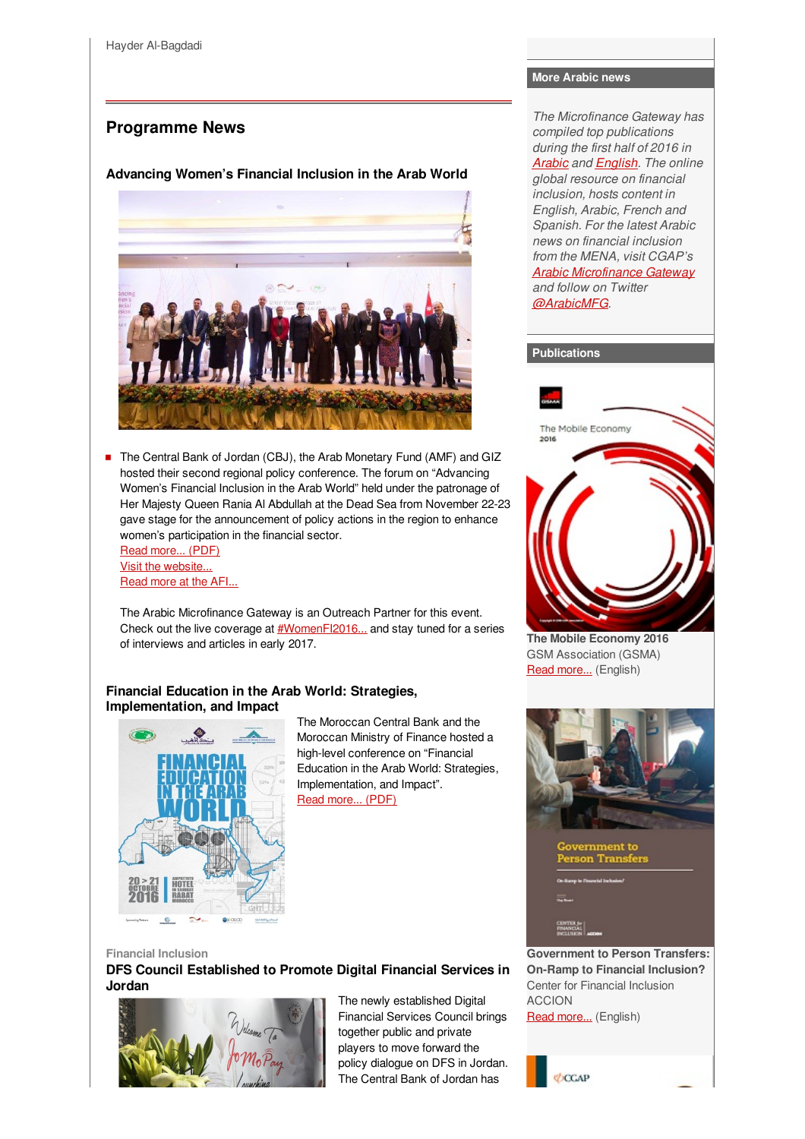# **Programme News**

# **Advancing Women's Financial Inclusion in the Arab World**



The Central Bank of Jordan (CBJ), the Arab Monetary Fund (AMF) and GIZ hosted their second regional policy conference. The forum on "Advancing Women's Financial Inclusion in the Arab World" held under the patronage of Her Majesty Queen Rania Al Abdullah at the Dead Sea from November 22-23 gave stage for the announcement of policy actions in the region to enhance women's participation in the financial sector.

Read [more...](https://cloud.atillayucel.com/index.php/s/aCn9F1oyOCbU0sB/download) (PDF) Visit the [website...](http://financialinclusion-conference.org/) [Read](http://www.afi-global.org/news/2016/12/high-level-policy-forum-advancing-womens-financial-inclusion-arab-world-looks-create) more at the AFI...

The Arabic Microfinance Gateway is an Outreach Partner for this event. Check out the live coverage at **[#WomenFI2016...](https://twitter.com/search?f=tweets&vertical=default&q=%23WomenFI2016&src=typd)** and stay tuned for a series of interviews and articles in early 2017.

### **Financial Education in the Arab World: Strategies, Implementation, and Impact**



The Moroccan Central Bank and the Moroccan Ministry of Finance hosted a high-level conference on "Financial Education in the Arab World: Strategies, Implementation, and Impact". Read [more...](https://cloud.atillayucel.com/index.php/s/rucWIj1RtwMXu1n/download) (PDF)

### **Financial Inclusion**

**DFS Council Established to Promote Digital Financial Services in Jordan**



The newly established Digital Financial Services Council brings together public and private players to move forward the policy dialogue on DFS in Jordan. The Central Bank of Jordan has

#### **More Arabic news**

*The Microfinance Gateway has compiled top publications during the first half of 2016 in [Arabic](https://goo.gl/IwCl9D) and [English](https://www.microfinancegateway.org/library/top-ten-publications-first-half-2016). The online global resource on financial inclusion, hosts content in English, Arabic, French and Spanish. For the latest Arabic news on financial inclusion from the MENA, visit CGAP's Arabic [Microfinance](https://www.microfinancegateway.org/ar) Gateway and follow on Twitter*

*[@ArabicMFG](https://twitter.com/ArabicMFG).*

# **Publications**



**The Mobile Economy 2016** GSM Association (GSMA) Read [more...](https://www.gsmaintelligence.com/research/?file=97928efe09cdba2864cdcf1ad1a2f58c&download) (English)



mment to on Trans

**[Government](http://www.centerforfinancialinclusion.org/storage/documents/Government_to_Person_Transfers.pdf) to Person Transfers: On-Ramp to Financial Inclusion?** Center for Financial Inclusion ACCION

Read [more...](http://www.centerforfinancialinclusion.org/storage/documents/Government_to_Person_Transfers.pdf) (English)



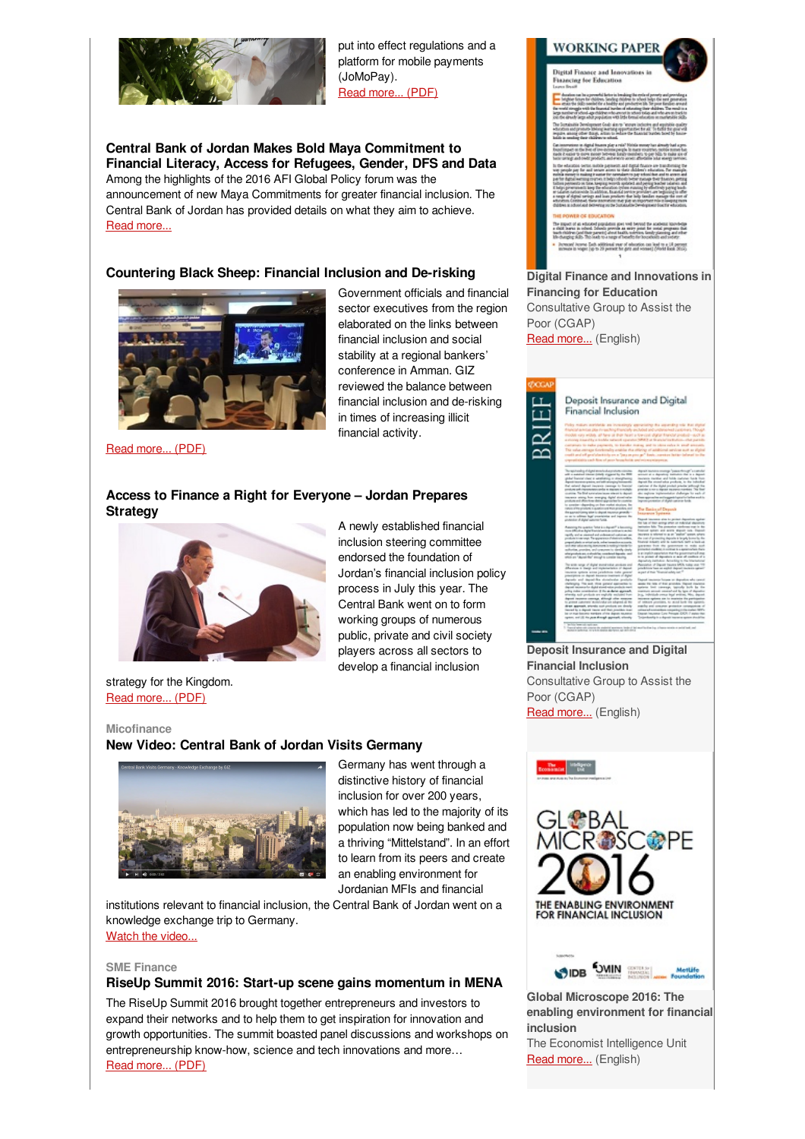

put into effect regulations and a platform for mobile payments (JoMoPay). Read [more...](https://cloud.atillayucel.com/index.php/s/MoGBEC0p0NePb9I/download ) (PDF)

### **Central Bank of Jordan Makes Bold Maya Commitment to Financial Literacy, Access for Refugees, Gender, DFS and Data** Among the highlights of the 2016 AFI Global Policy forum was the announcement of new Maya Commitments for greater financial inclusion. The Central Bank of Jordan has provided details on what they aim to achieve. Read [more...](http://www.afi-global.org/news/2016/11/central-bank-jordan-makes-bold-maya-commitment-financial-literacy-access-refugees)

# **Countering Black Sheep: Financial Inclusion and De-risking**



Government officials and financial sector executives from the region elaborated on the links between financial inclusion and social stability at a regional bankers' conference in Amman. GIZ reviewed the balance between financial inclusion and de-risking in times of increasing illicit financial activity.

Read [more...](https://cloud.atillayucel.com/index.php/s/UhWpkTQsYuT4eoN/download ) (PDF)

# **Access to Finance a Right for Everyone – Jordan Prepares Strategy**



A newly established financial inclusion steering committee endorsed the foundation of Jordan's financial inclusion policy process in July this year. The Central Bank went on to form working groups of numerous public, private and civil society players across all sectors to develop a financial inclusion

strategy for the Kingdom. Read [more...](https://cloud.atillayucel.com/index.php/s/3f8bt4gAI59paNj/download ) (PDF)

#### **Micofinance**

# **New Video: Central Bank of Jordan Visits Germany**



Germany has went through a distinctive history of financial inclusion for over 200 years, which has led to the majority of its population now being banked and a thriving "Mittelstand". In an effort to learn from its peers and create an enabling environment for Jordanian MFIs and financial

institutions relevant to financial inclusion, the Central Bank of Jordan went on a knowledge exchange trip to Germany. Watch the [video...](https://login.mailingwork.de/-link2/1593/3237/163/0/120623/sMLFGPjR/wXPenVujv0/0)

#### **SME Finance**

#### **RiseUp Summit 2016: Start-up scene gains momentum in MENA**

The RiseUp Summit 2016 brought together entrepreneurs and investors to expand their networks and to help them to get inspiration for innovation and growth opportunities. The summit boasted panel discussions and workshops on entrepreneurship know-how, science and tech innovations and more… Read [more...](https://cloud.atillayucel.com/index.php/s/rSHO2dB8o52c8Zo/download) (PDF)

# **WORKING PAPER**

ame Each additional year of obsets<br>need into to 20 percent for gone and

#### **Digital Finance and Innovations in Financing for Education**

Consultative Group to Assist the Poor (CGAP)

Read [more...](http://www.cgap.org/sites/default/files/Working-Paper-Digital-Finance-and Innovations-in-Financing-for-Education.pdf) (English)



**Deposit Insurance and Digital Financial Inclusion** Consultative Group to Assist the Poor (CGAP) Read [more...](http://www.cgap.org/sites/default/files/Brief_Deposit_Insurance_and_Digital_Financial_Inclusion.pdf) (English)





**Global Microscope 2016: The enabling environment for financial inclusion** The Economist Intelligence Unit Read [more...](http://www.centerforfinancialinclusion.org/storage/documents/EIU_Microscope_2016_WEBr2_2016.11.03.pdf) (English)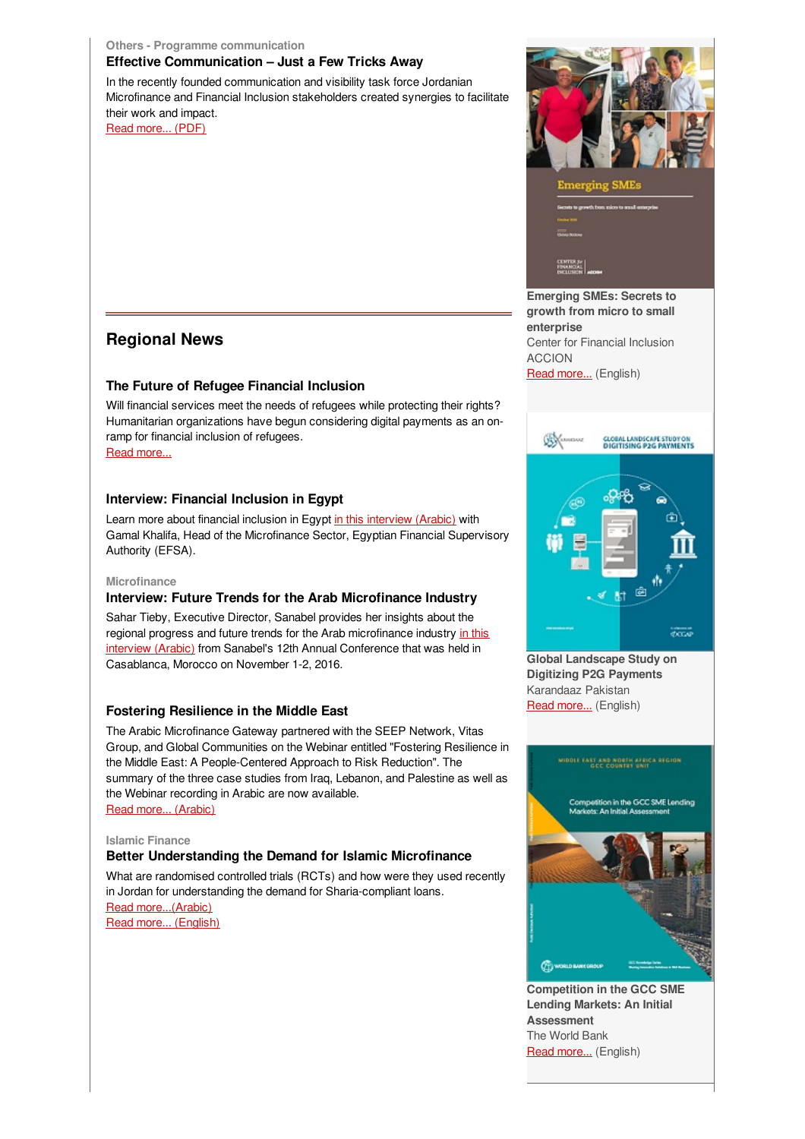#### **Others - Programme communication Effective Communication – Just a Few Tricks Away**

In the recently founded communication and visibility task force Jordanian Microfinance and Financial Inclusion stakeholders created synergies to facilitate their work and impact.

Read [more...](https://cloud.atillayucel.com/index.php/s/ZpG3pGyVSsW6rfd/download) (PDF)

# **Regional News**

# **The Future of Refugee Financial Inclusion**

Will financial services meet the needs of refugees while protecting their rights? Humanitarian organizations have begun considering digital payments as an onramp for financial inclusion of refugees. Read [more...](https://login.mailingwork.de/-link2/1593/3237/151/0/120623/sMLFGPjR/wXPenVujv0/0)

# **Interview: Financial Inclusion in Egypt**

Learn more about financial inclusion in Egypt in this [interview](http://www.microfinancegateway.org/ar/library/%D9%85%D9%86%D8%B8%D9%88%D9%85%D8%A9-%D9%85%D8%AA%D9%83%D8%A7%D9%85%D9%84%D8%A9-%D9%85%D9%86-%D8%A3%D8%AC%D9%84-%D8%AA%D8%B9%D8%B2%D9%8A%D8%B2-%D8%A7%D9%84%D8%B4%D9%85%D9%88%D9%84-%D8%A7%D9%84%D9%85%D8%A7%D9%84%D9%8A-%D9%81%D9%8A-%D9%85%D8%B5%D8%B1) (Arabic) with Gamal Khalifa, Head of the Microfinance Sector, Egyptian Financial Supervisory Authority (EFSA).

# **Microfinance**

# **Interview: Future Trends for the Arab Microfinance Industry**

Sahar Tieby, Executive Director, Sanabel provides her insights about the regional progress and future trends for the Arab [microfinance](https://www.microfinancegateway.org/ar/library/%D9%85%D8%AF%D9%89-%D8%A7%D9%84%D8%AA%D9%82%D8%AF%D9%85-%D8%A7%D9%84%D8%A5%D9%82%D9%84%D9%8A%D9%85%D9%8A-%D9%88%D8%A7%D9%84%D8%AA%D9%88%D8%AC%D9%87%D8%A7%D8%AA-%D8%A7%D9%84%D9%85%D8%B3%D8%AA%D9%82%D8%A8%D9%84%D9%8A%D8%A9-%D9%81%D9%8A-%D9%82%D8%B7%D8%A7%D8%B9-%D8%A7%D9%84%D8%AA%D9%85%D9%88%D9%8A%D9%84-%D8%A7%D9%84%D8%A3%D8%B5%D8%BA%D8%B1-%D8%A8%D8%A7%D9%84%D9%85%D9%86%D8%B7%D9%82%D8%A9-%D8%A7%D9%84%D8%B9%D8%B1%D8%A8%D9%8A%D8%A9) industry in this interview (Arabic) from Sanabel's 12th Annual Conference that was held in Casablanca, Morocco on November 1-2, 2016.

# **Fostering Resilience in the Middle East**

The Arabic Microfinance Gateway partnered with the SEEP Network, Vitas Group, and Global Communities on the Webinar entitled "Fostering Resilience in the Middle East: A People-Centered Approach to Risk Reduction". The summary of the three case studies from Iraq, Lebanon, and Palestine as well as the Webinar recording in Arabic are now available. Read more... [\(Arabic\)](https://www.microfinancegateway.org/ar/library/%D8%AA%D8%B9%D8%B2%D9%8A%D8%B2-%D8%A7%D9%84%D9%82%D8%AF%D8%B1%D8%A9-%D8%B9%D9%84%D9%89-%D8%A7%D9%84%D8%B5%D9%85%D9%88%D8%AF-%D9%84%D8%AF%D9%89-%D9%85%D8%A4%D8%B3%D8%B3%D8%A7%D8%AA-%D8%A7%D9%84%D8%AA%D9%85%D9%88%D9%8A%D9%84-%D8%A7%D9%84%D8%A3%D8%B5%D8%BA%D8%B1-%D9%81%D9%8A-%D8%A7%D9%84%D8%B4%D8%B1%D9%82-%D8%A7%D9%84%D8%A3%D9%88%D8%B3%D8%B7)

# **Islamic Finance**

# **Better Understanding the Demand for Islamic Microfinance**

What are randomised controlled trials (RCTs) and how were they used recently in Jordan for understanding the demand for Sharia-compliant loans. Read [more...\(Arabic\)](https://www.microfinancegateway.org/ar/library/%D8%A7%D8%B3%D8%AA%D8%AE%D8%AF%D8%A7%D9%85-%D8%A7%D9%84%D8%AA%D8%AC%D8%A7%D8%B1%D8%A8-%D8%A7%D9%84%D8%B9%D8%B4%D9%88%D8%A7%D8%A6%D9%8A%D8%A9-%D9%85%D9%86-%D8%A3%D8%AC%D9%84-%D8%AA%D8%B7%D9%88%D9%8A%D8%B1-%D8%A7%D9%84%D9%85%D9%86%D8%AA%D8%AC)

Read more... [\(English\)](http://www.cgap.org/blog/better-understanding-demand-islamic-microfinance)



**Emerging SMEs: Secrets to growth from micro to small enterprise** Center for Financial Inclusion ACCION

Read [more...](http://www.centerforfinancialinclusion.org/storage/documents/Emerging_SMEs_FINAL_Eng.pdf) (English)

![](_page_3_Picture_20.jpeg)

![](_page_3_Picture_21.jpeg)

**Global Landscape Study on Digitizing P2G Payments** Karandaaz Pakistan Read [more...](http://karandaaz.com.pk/sites/default/files/downloads/Karandaaz-P2G-landscape-study.pdf) (English)

![](_page_3_Picture_23.jpeg)

**Competition in the GCC SME Lending Markets: An Initial Assessment** The World Bank Read [more...](http://documents.worldbank.org/curated/en/219781478855303337/pdf/110152-WP-GCCKnowledgeNotesSeriesNov-PUBLIC.pdf) (English)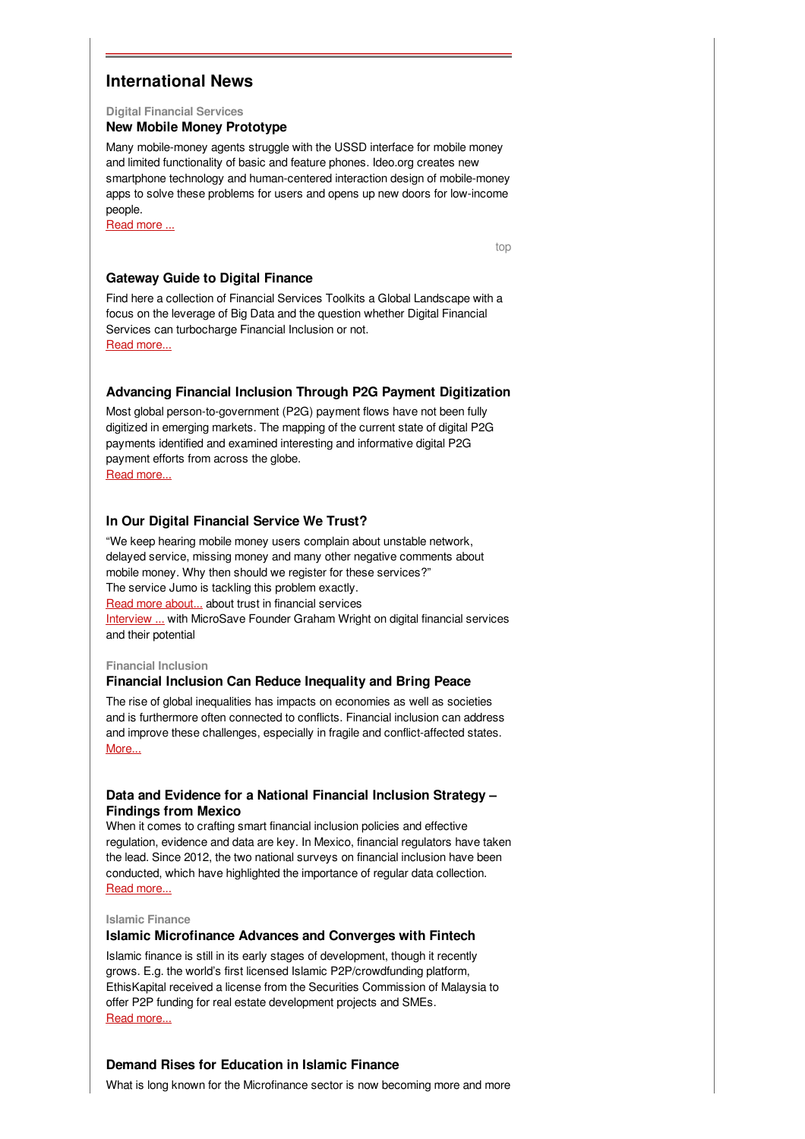# **International News**

**Digital Financial Services**

# **New Mobile Money Prototype**

Many mobile-money agents struggle with the USSD interface for mobile money and limited functionality of basic and feature phones. Ideo.org creates new smartphone technology and human-centered interaction design of mobile-money apps to solve these problems for users and opens up new doors for low-income people.

[Read](https://login.mailingwork.de/-link2/1593/3237/117/0/120623/sMLFGPjR/wXPenVujv0/0) more ...

[top](#page-0-0)

# **Gateway Guide to Digital Finance**

Find here a collection of Financial Services Toolkits a Global Landscape with a focus on the leverage of Big Data and the question whether Digital Financial Services can turbocharge Financial Inclusion or not. Read [more...](https://login.mailingwork.de/-link2/1593/3237/125/0/120623/sMLFGPjR/wXPenVujv0/0)

# **Advancing Financial Inclusion Through P2G Payment Digitization**

Most global person-to-government (P2G) payment flows have not been fully digitized in emerging markets. The mapping of the current state of digital P2G payments identified and examined interesting and informative digital P2G payment efforts from across the globe. Read [more...](https://login.mailingwork.de/-link2/1593/3237/127/0/120623/sMLFGPjR/wXPenVujv0/0)

# **In Our Digital Financial Service We Trust?**

"We keep hearing mobile money users complain about unstable network, delayed service, missing money and many other negative comments about mobile money. Why then should we register for these services?" The service Jumo is tackling this problem exactly. Read more [about...](http://blog.microsave.net/in-our-digital-financial-service-we-trust/) about trust in financial services [Interview](https://www.microfinancegateway.org/library/can-digital-financial-services-turbocharge-financial-inclusion?utm_source=Microfinance+Gateway+Bulletin%3A+2+Nov+2016&utm_campaign=10%2F19%2F2016+Bulletin+Analytics&utm_medium=email) ... with MicroSave Founder Graham Wright on digital financial services and their potential

**Financial Inclusion**

#### **Financial Inclusion Can Reduce Inequality and Bring Peace**

The rise of global inequalities has impacts on economies as well as societies and is furthermore often connected to conflicts. Financial inclusion can address and improve these challenges, especially in fragile and conflict-affected states. [More...](https://login.mailingwork.de/-link2/1593/3237/131/0/120623/sMLFGPjR/wXPenVujv0/0)

### **Data and Evidence for a National Financial Inclusion Strategy – Findings from Mexico**

When it comes to crafting smart financial inclusion policies and effective regulation, evidence and data are key. In Mexico, financial regulators have taken the lead. Since 2012, the two national surveys on financial inclusion have been conducted, which have highlighted the importance of regular data collection. Read [more...](https://login.mailingwork.de/-link2/1593/3237/133/0/120623/sMLFGPjR/wXPenVujv0/0)

**Islamic Finance**

# **Islamic Microfinance Advances and Converges with Fintech**

Islamic finance is still in its early stages of development, though it recently grows. E.g. the world's first licensed Islamic P2P/crowdfunding platform, EthisKapital received a license from the Securities Commission of Malaysia to offer P2P funding for real estate development projects and SMEs. Read [more...](https://login.mailingwork.de/-link2/1593/3237/135/0/120623/sMLFGPjR/wXPenVujv0/0)

# **Demand Rises for Education in Islamic Finance**

What is long known for the Microfinance sector is now becoming more and more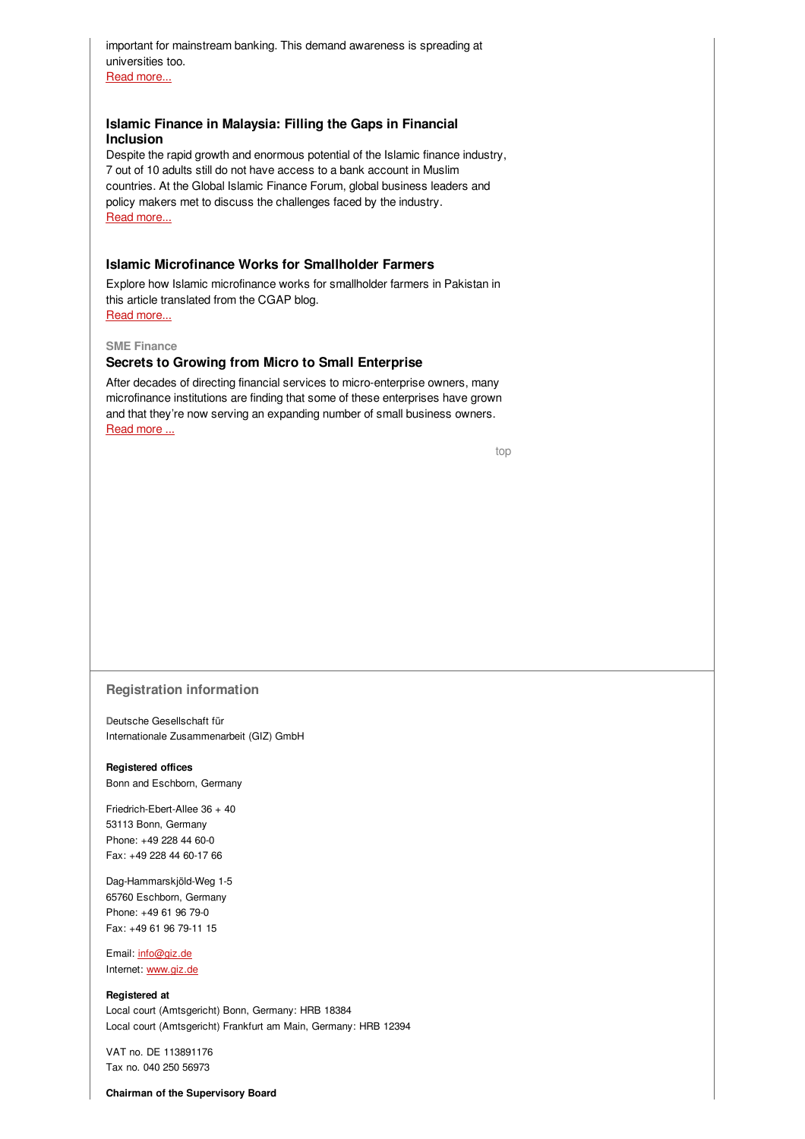important for mainstream banking. This demand awareness is spreading at universities too. Read [more...](https://login.mailingwork.de/-link2/1593/3237/137/0/120623/sMLFGPjR/wXPenVujv0/0)

# **Islamic Finance in Malaysia: Filling the Gaps in Financial Inclusion**

Despite the rapid growth and enormous potential of the Islamic finance industry, 7 out of 10 adults still do not have access to a bank account in Muslim countries. At the Global Islamic Finance Forum, global business leaders and policy makers met to discuss the challenges faced by the industry. Read [more...](https://login.mailingwork.de/-link2/1593/3237/139/0/120623/sMLFGPjR/wXPenVujv0/0)

# **Islamic Microfinance Works for Smallholder Farmers**

Explore how Islamic microfinance works for smallholder farmers in Pakistan in this article translated from the CGAP blog. Read [more...](https://login.mailingwork.de/-link2/1593/3237/141/0/120623/sMLFGPjR/wXPenVujv0/0)

### **SME Finance**

### **Secrets to Growing from Micro to Small Enterprise**

After decades of directing financial services to micro-enterprise owners, many microfinance institutions are finding that some of these enterprises have grown and that they're now serving an expanding number of small business owners. [Read](https://login.mailingwork.de/-link2/1593/3237/143/0/120623/sMLFGPjR/wXPenVujv0/0) more ...

[top](#page-0-0)

### **Registration information**

**D**eutsche Gesellschaft für Internationale Zusammenarbeit (GIZ) GmbH

#### **Registered offices** Bonn and Eschborn, Germany

Friedrich-Ebert-Allee 36 + 40 53113 Bonn, Germany Phone: +49 228 44 60-0 Fax: +49 228 44 60-17 66

Dag-Hammarskjöld-Weg 1-5 65760 Eschborn, Germany Phone: +49 61 96 79-0 Fax: +49 61 96 79-11 15

Email: [info@giz.de](mailto:info@giz.de) Internet: [www.giz.de](http://www.giz.de)

#### **Registered at**

Local court (Amtsgericht) Bonn, Germany: HRB 18384 Local court (Amtsgericht) Frankfurt am Main, Germany: HRB 12394

VAT no. DE 113891176 Tax no. 040 250 56973

#### **Chairman of the Supervisory Board**